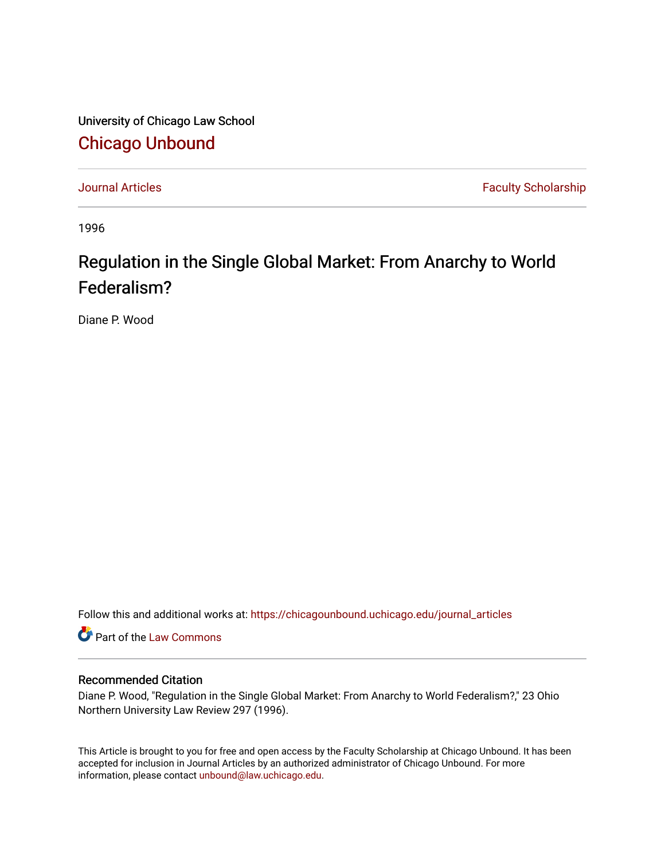University of Chicago Law School [Chicago Unbound](https://chicagounbound.uchicago.edu/)

[Journal Articles](https://chicagounbound.uchicago.edu/journal_articles) **Faculty Scholarship Faculty Scholarship** 

1996

# Regulation in the Single Global Market: From Anarchy to World Federalism?

Diane P. Wood

Follow this and additional works at: [https://chicagounbound.uchicago.edu/journal\\_articles](https://chicagounbound.uchicago.edu/journal_articles?utm_source=chicagounbound.uchicago.edu%2Fjournal_articles%2F2042&utm_medium=PDF&utm_campaign=PDFCoverPages) 

Part of the [Law Commons](http://network.bepress.com/hgg/discipline/578?utm_source=chicagounbound.uchicago.edu%2Fjournal_articles%2F2042&utm_medium=PDF&utm_campaign=PDFCoverPages)

# Recommended Citation

Diane P. Wood, "Regulation in the Single Global Market: From Anarchy to World Federalism?," 23 Ohio Northern University Law Review 297 (1996).

This Article is brought to you for free and open access by the Faculty Scholarship at Chicago Unbound. It has been accepted for inclusion in Journal Articles by an authorized administrator of Chicago Unbound. For more information, please contact [unbound@law.uchicago.edu](mailto:unbound@law.uchicago.edu).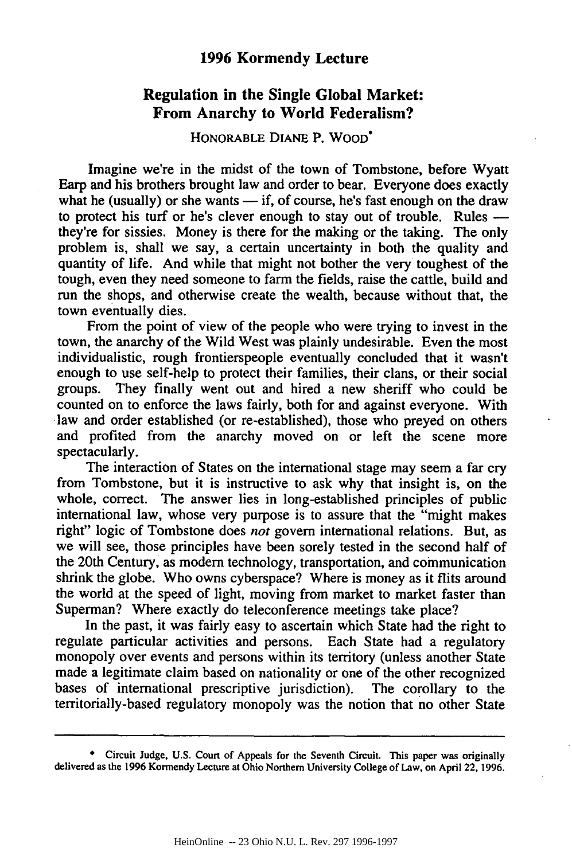# **1996 Kormendy Lecture**

# **Regulation in the Single Global Market: From Anarchy to World Federalism?**

#### HONORABLE DIANE P. WOOD\*

Imagine we're in the midst of the town of Tombstone, before Wyatt Earp and his brothers brought law and order to bear. Everyone does exactly what he (usually) or she wants  $-$  if, of course, he's fast enough on the draw to protect his turf or he's clever enough to stay out of trouble. Rules  they're for sissies. Money is there for the making or the taking. The only problem is, shall we say, a certain uncertainty in both the quality and quantity of life. And while that might not bother the very toughest of the tough, even they need someone to farm the fields, raise the cattle, build and run the shops, and otherwise create the wealth, because without that, the town eventually dies.

From the point of view of the people who were trying to invest in the town, the anarchy of the Wild West was plainly undesirable. Even the most individualistic, rough frontierspeople eventually concluded that it wasn't enough to use self-help to protect their families, their clans, or their social groups. They finally went out and hired a new sheriff who could be counted on to enforce the laws fairly, both for and against everyone. With law and order established (or re-established), those who preyed on others and profited from the anarchy moved on or left the scene more spectacularly.

The interaction of States on the international stage may seem a far cry from Tombstone, but it is instructive to ask why that insight is, on the whole, correct. The answer lies in long-established principles of public international law, whose very purpose is to assure that the "might makes right" logic of Tombstone does *not* govern international relations. But, as we will see, those principles have been sorely tested in the second half of the 20th Century, as modern technology, transportation, and communication shrink the globe. Who owns cyberspace? Where is money as it flits around the world at the speed of light, moving from market to market faster than Superman? Where exactly do teleconference meetings take place?

In the past, it was fairly easy to ascertain which State had the right to regulate particular activities and persons. Each State had a regulatory monopoly over events and persons within its territory (unless another State made a legitimate claim based on nationality or one of the other recognized bases of international prescriptive jurisdiction). The corollary to the territorially-based regulatory monopoly was the notion that no other State

**<sup>\*</sup>** Circuit Judge, **U.S.** Court of Appeals for the Seventh Circuit. This paper was originally delivered as the **1996** Kormendy Lecture at Ohio Northern University College of Law, on April 22, **1996.**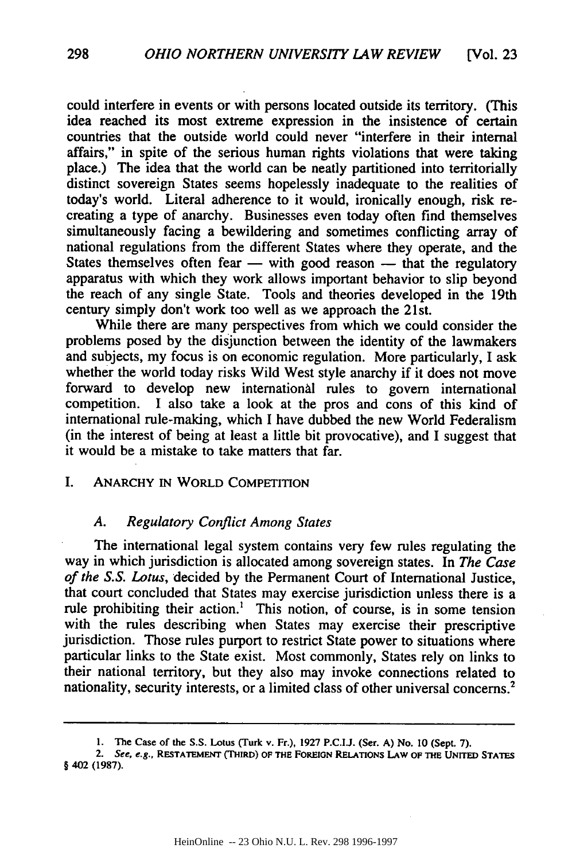could interfere in events or with persons located outside its territory. (This idea reached its most extreme expression in the insistence of certain countries that the outside world could never "interfere in their internal affairs," in spite of the serious human rights violations that were taking place.) The idea that the world can be neatly partitioned into territorially distinct sovereign States seems hopelessly inadequate to the realities of today's world. Literal adherence to it would, ironically enough, risk recreating a type of anarchy. Businesses even today often find themselves simultaneously facing a bewildering and sometimes conflicting array of national regulations from the different States where they operate, and the States themselves often fear  $-$  with good reason  $-$  that the regulatory apparatus with which they work allows important behavior to slip beyond the reach of any single State. Tools and theories developed in the 19th century simply don't work too well as we approach the 21st.

While there are many perspectives from which we could consider the problems posed **by** the disjunction between the identity of the lawmakers and subjects, my focus is on economic regulation. More particularly, I ask whether the world today risks Wild West style anarchy if it does not move forward to develop new international rules to govern international competition. **I** also take a look at the pros and cons of this kind of international rule-making, which I have dubbed the new World Federalism (in the interest of being at least a little bit provocative), and I suggest that it would be a mistake to take matters that far.

#### I. ANARCHY IN WORLD COMPETITION

#### *A. Regulatory Conflict Among States*

The international legal system contains very few rules regulating the way in which jurisdiction is allocated among sovereign states. In *The Case of the S.S.* Lotus, decided by the Permanent Court of International Justice, that court concluded that States may exercise jurisdiction unless there is a rule prohibiting their action.' This notion, of course, is in some tension with the rules describing when States may exercise their prescriptive jurisdiction. Those rules purport to restrict State power to situations where particular links to the State exist. Most commonly, States rely on links to their national territory, but they also may invoke connections related to nationality, security interests, or a limited class of other universal concerns.2

**<sup>1.</sup> The Case of the S.S.** Lotus (Turk **v. Fr.), 1927 P.C.I.J. (Ser. A) No. 10 (Sept.** 7).

<sup>2.</sup> **See, e.g., RESTATEMENT (THIRD) OF THE FOREIGN RELATIONS LAW OF THE UNITED STATES** § 402 (1987).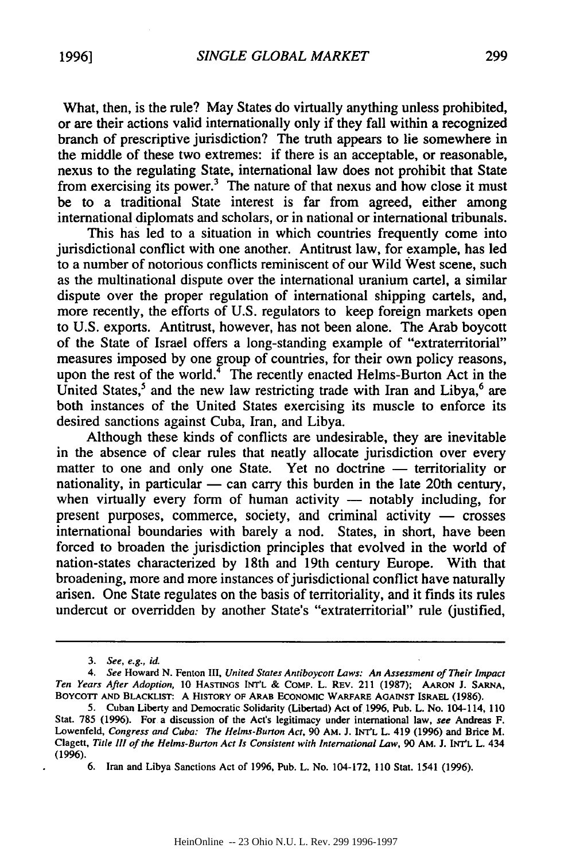What, then, is the rule? May States do virtually anything unless prohibited, or are their actions valid internationally only if they fall within a recognized branch of prescriptive jurisdiction? The truth appears to lie somewhere in the middle of these two extremes: if there is an acceptable, or reasonable, nexus to the regulating State, international law does not prohibit that State from exercising its power. $3$  The nature of that nexus and how close it must be to a traditional State interest is far from agreed, either among international diplomats and scholars, or in national or international tribunals.

This has led to a situation in which countries frequently come into jurisdictional conflict with one another. Antitrust law, for example, has led to a number of notorious conflicts reminiscent of our Wild West scene, such as the multinational dispute over the international uranium cartel, a similar dispute over the proper regulation of international shipping cartels, and, more recently, the efforts of U.S. regulators to keep foreign markets open to U.S. exports. Antitrust, however, has not been alone. The Arab boycott of the State of Israel offers a long-standing example of "extraterritorial" measures imposed by one group of countries, for their own policy reasons, upon the rest of the world. $4\overline{ }$  The recently enacted Helms-Burton Act in the United States,<sup>5</sup> and the new law restricting trade with Iran and Libya, $6$  are both instances of the United States exercising its muscle to enforce its desired sanctions against Cuba, Iran, and Libya.

Although these kinds of conflicts are undesirable, they are inevitable in the absence of clear rules that neatly allocate jurisdiction over every matter to one and only one State. Yet no doctrine - territoriality or nationality, in particular  $-$  can carry this burden in the late 20th century, when virtually every form of human activity  $-$  notably including, for present purposes, commerce, society, and criminal activity  $-$  crosses international boundaries with barely a nod. States, in short, have been forced to broaden the jurisdiction principles that evolved in the world of nation-states characterized by 18th and 19th century Europe. With that broadening, more and more instances of jurisdictional conflict have naturally arisen. One State regulates on the basis of territoriality, and it finds its rules undercut or overridden by another State's "extraterritorial" rule (justified,

*<sup>3.</sup> See, e.g., id.*

*<sup>4.</sup> See* Howard **N.** Fenton III, *United States Antiboycott Laws: An Assessment of Their Impact Ten Years After Adoption,* 10 **HASTINGS INT'L** & COMP. L. REV. 211 (1987); **AARON** J. **SARNA, BOYCOTT AND** BLACKLIST: **A HISTORY OF ARAB ECONOMIC WARFARE AGAINST** ISRAEL (1986).

<sup>5.</sup> Cuban Liberty and Democratic Solidarity (Libertad) Act of 1996, Pub. L. No. 104-114, **<sup>110</sup>** Stat. **785** (1996). For a discussion of the Act's legitimacy under international law, *see* Andreas F. Lowenfeld, *Congress and Cuba: The Helms-Burton Act,* 90 *AM.* J. **INT'L** L. 419 (1996) and Brice M. Clagett, *Title III of the Helms-Burton Act Is Consistent with International Law,* 90 **AM.** J. INT'L L. 434 (1996).

<sup>6.</sup> Iran and Libya Sanctions Act of 1996, Pub. L. No. 104-172, 110 Stat. 1541 (1996).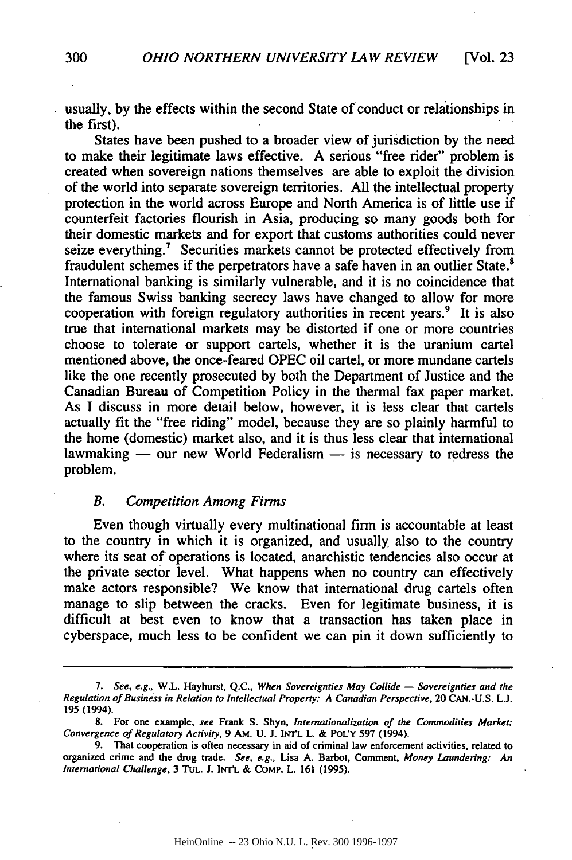usually, by the effects within the second State of conduct or relationships in the first).

States have been pushed to a broader view of jurisdiction by the need to make their legitimate laws effective. A serious "free rider" problem is created when sovereign nations themselves are able to exploit the division of the world into separate sovereign territories. All the intellectual property protection in the world across Europe and North America is of little use if counterfeit factories flourish in Asia, producing so many goods both for their domestic markets and for export that customs authorities could never seize everything.<sup>7</sup> Securities markets cannot be protected effectively from fraudulent schemes if the perpetrators have a safe haven in an outlier State.<sup>8</sup> International banking is similarly vulnerable, and it is no coincidence that the famous Swiss banking secrecy laws have changed to allow for more cooperation with foreign regulatory authorities in recent years.<sup>9</sup> It is also true that international markets may be distorted if one or more countries choose to tolerate or support cartels, whether it is the uranium cartel mentioned above, the once-feared OPEC oil cartel, or more mundane cartels like the one recently prosecuted by both the Department of Justice and the Canadian Bureau of Competition Policy in the thermal fax paper market. As I discuss in more detail below, however, it is less clear that cartels actually fit the "free riding" model, because they are so plainly harmful to the home (domestic) market also, and it is thus less clear that international lawmaking — our new World Federalism — is necessary to redress the problem.

#### *B. Competition Among Firms*

Even though virtually every multinational firm is accountable at least to the country in which it is organized, and usually also to the country where its seat of operations is located, anarchistic tendencies also occur at the private sector level. What happens when no country can effectively make actors responsible? We know that international drug cartels often manage to slip between the cracks. Even for legitimate business, it is difficult at best even to know that a transaction has taken place in cyberspace, much less to be confident we can pin it down sufficiently to

<sup>7.</sup> See, e.g., W.L. Hayhurst, Q.C., When Sovereignties May Collide — Sovereignties and the Regulation of Business in Relation to *Intellectual* Property: A Canadian Perspective, 20 **CAN.-U.S.L.J.** 195 **(1994).**

**<sup>8.</sup> For** one example, **see** Frank **S.** Shyn, Internationalization of the Commodities Market. Convergence of Regulatory Activity, **9 AM.** U. **J. INY'L** L. & PoL'Y 597 (1994).

<sup>9.</sup> That cooperation is often necessary in aid of criminal law enforcement activities, related to organized crime and the drug trade. See, e.g., Lisa **A.** Barbot, Comment, Money Laundering: An International Challenge, 3 TUL. J. **INtYL** & COMp. L. **161** (1995).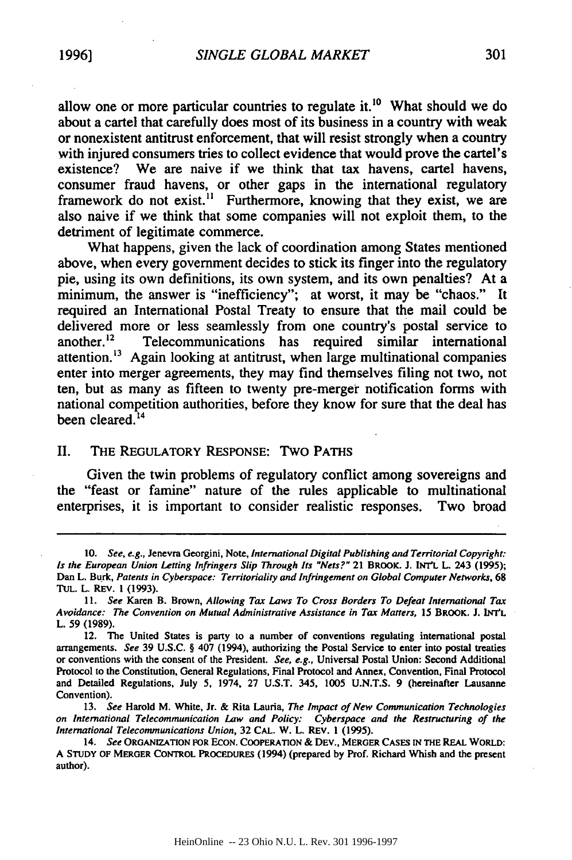allow one or more particular countries to regulate it.<sup>10</sup> What should we do about a cartel that carefully does most of its business in a country with weak or nonexistent antitrust enforcement, that will resist strongly when a country with injured consumers tries to collect evidence that would prove the cartel's existence? We are naive if we think that tax havens, cartel havens, consumer fraud havens, or other gaps in the international regulatory framework do not exist.<sup>11</sup> Furthermore, knowing that they exist, we are also naive if we think that some companies will not exploit them, to the detriment of legitimate commerce.

What happens, given the lack of coordination among States mentioned above, when every government decides to stick its finger into the regulatory pie, using its own definitions, its own system, and its own penalties? At a minimum, the answer is "inefficiency"; at worst, it may be "chaos." It required an International Postal Treaty to ensure that the mail could be delivered more or less seamlessly from one country's postal service to another.<sup>12</sup> Telecommunications has required similar international Telecommunications has required similar international attention.<sup>13</sup> Again looking at antitrust, when large multinational companies enter into merger agreements, they may find themselves filing not two, not ten, but as many as fifteen to twenty pre-merger notification forms with national competition authorities, before they know for sure that the deal has been cleared.<sup>14</sup>

## II. THE REGULATORY RESPONSE: Two PATHS

Given the twin problems of regulatory conflict among sovereigns and the "feast or famine" nature of the rules applicable to multinational enterprises, it is important to consider realistic responses. Two broad

**<sup>10.</sup>** *See, e.g.,* Jenevra Georgini, Note, *International Digital Publishing and Territorial Copyright: Is the* European *Union Letting Infringers Slip Through Its "Nets?"* **21 BROOK. J. INT'L L. 243 (1995);** Dan L. Burk, *Patents in Cyberspace: Territoriality and Infringement on Global Computer Networks,* **68** TUL. L. REV. **1 (1993).**

*<sup>11.</sup> See* Karen B. Brown, *Allowing Tax Laws To Cross Borders To Defeat International Tax Avoidance: The Convention on Mutual Administrative Assistance in Tax Matters,* **15 BROOK. J. INr'L L. 59 (1989).**

<sup>12.</sup> The United States is party to a number of conventions regulating international postal arrangements. *See* 39 U.S.C. § 407 (1994), authorizing the Postal Service to enter into postal treaties or conventions with the consent of the President. *See, e.g.,* Universal Postal Union: Second Additional Protocol to the Constitution, General Regulations, Final Protocol and Annex, Convention, Final Protocol and Detailed Regulations, July 5, 1974, 27 U.S.T. 345, 1005 U.N.T.S. 9 (hereinafter Lausanne Convention).

<sup>13.</sup> *See* Harold M. White, Jr. & Rita Lauria, *The Impact of New Communication Technologies on International Telecommunication Law and Policy: Cyberspace and the Restructuring of the International Telecommunications Union,* 32 **CAL.** W. L. REV. **1 (1995).**

<sup>14.</sup> *See* **ORGANIZATION FOR ECON. COOPERATION & DEv., MERGER CASES IN THE REAL WORLD: A STUDY OF MERGER CONTROL PROCEDURES** (1994) (prepared **by** Prof. Richard Whish and the present author).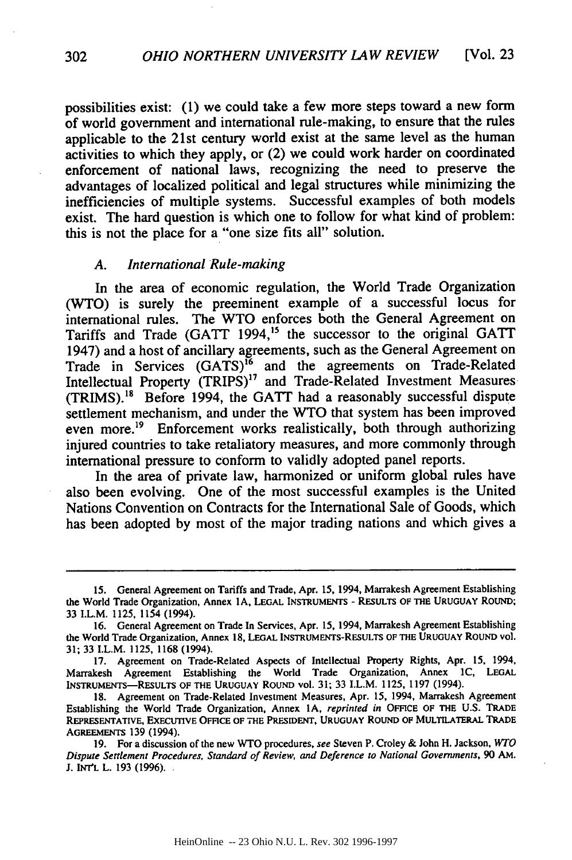possibilities exist: (1) we could take a few more steps toward a new form of world government and international rule-making, to ensure that the rules applicable to the 21st century world exist at the same level as the human activities to which they apply, or (2) we could work harder on coordinated enforcement of national laws, recognizing the need to preserve the advantages of localized political and legal structures while minimizing the inefficiencies of multiple systems. Successful examples of both models exist. The hard question is which one to follow for what kind of problem: this is not the place for a "one size fits all" solution.

#### *A. International Rule-making*

In the area of economic regulation, the World Trade Organization (WTO) is surely the preeminent example of a successful locus for international rules. The WTO enforces both the General Agreement on Tariffs and Trade (GATT 1994,<sup>15</sup> the successor to the original GATT 1947) and a host of ancillary agreements, such as the General Agreement on Trade in Services (GATS)<sup>16</sup> and the agreements on Trade-Related Intellectual Property (TRIPS)<sup>17</sup> and Trade-Related Investment Measures (TRIMS).<sup>18</sup> Before 1994, the GATT had a reasonably successful dispute settlement mechanism, and under the WTO that system has been improved even more.<sup>19</sup> Enforcement works realistically, both through authorizing injured countries to take retaliatory measures, and more commonly through international pressure to conform to validly adopted panel reports.

In the area of private law, harmonized or uniform global rules have also been evolving. One of the most successful examples is the United Nations Convention on Contracts for the International Sale of Goods, which has been adopted by most of the major trading nations and which gives a

**<sup>15.</sup>** General Agreement on Tariffs and Trade, Apr. **15,** 1994, Marrakesh Agreement Establishing the World Trade Organization, Annex **1A, LEGAL** INSTRUMENTS - RESULTS OF **THE URUGUAY** ROUND; 33 I.L.M. 1125, 1154 (1994).

<sup>16.</sup> General Agreement on Trade In Services, Apr. 15, 1994, Marrakesh Agreement Establishing the World Trade Organization, Annex 18, **LEGAL** INSTRUMENTS-RESULTS **OF THE URUGUAY** ROUND vol. 31; 33 I.L.M. 1125, 1168 (1994).

<sup>17.</sup> Agreement on Trade-Related Aspects of Intellectual Property Rights, Apr. **15,** 1994, Marrakesh Agreement Establishing the World Trade Organization, Annex **IC,** LEGAL INSTRUMENTS-RESULTS OF THE **URUGUAY** ROUND vol. 31; 33 I.L.M. 1125, 1197 (1994).

<sup>18.</sup> Agreement on Trade-Related Investment Measures, Apr. 15, 1994, Marrakesh Agreement Establishing the World Trade Organization, Annex **IA,** reprinted in **OFFICE** OF **THE U.S. TRADE** REPRESENTATIVE, **EXECUTIVE OFFICE** OF **THE PRESIDENT, URUGUAY** ROUND **OF MULTILATERAL TRADE** AGREEMENTS **139** (1994).

**<sup>19.</sup>** For a discussion of the new WTO procedures, see Steven P. Croley **&** John H. Jackson, WTO Dispute Settlement Procedures, Standard of Review, and Deference to National Governments, **90 AM. J.** INT'L L. **193 (1996).**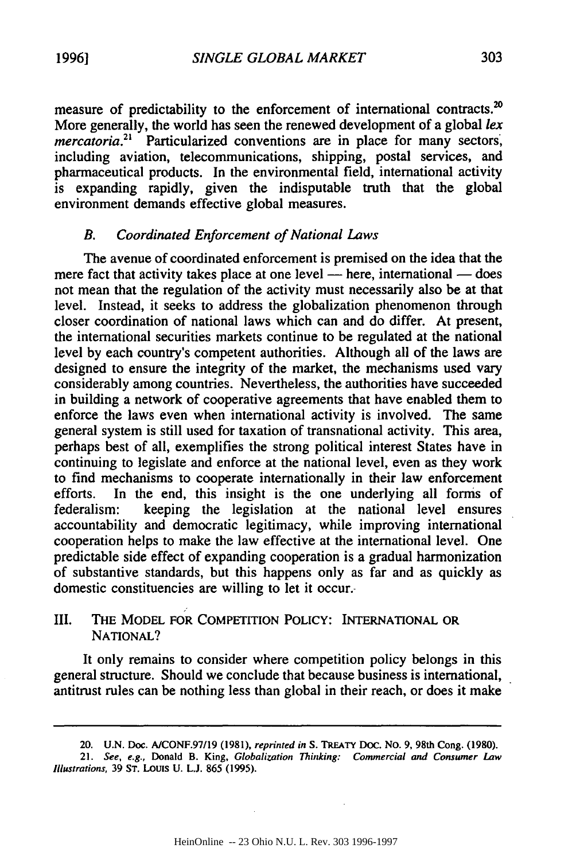measure of predictability to the enforcement of international contracts.<sup>20</sup> More generally, the world has seen the renewed development of a global *lex mercatoria*.<sup>21</sup> Particularized conventions are in place for many sectors, including aviation, telecommunications, shipping, postal services, and pharmaceutical products. In the environmental field, international activity is expanding rapidly, given the indisputable truth that the global environment demands effective global measures.

## *B. Coordinated Enforcement of National Laws*

The avenue of coordinated enforcement is premised on the idea that the mere fact that activity takes place at one level - here, international - does not mean that the regulation of the activity must necessarily also be at that level. Instead, it seeks to address the globalization phenomenon through closer coordination of national laws which can and do differ. At present, the international securities markets continue to be regulated at the national level by each country's competent authorities. Although all of the laws are designed to ensure the integrity of the market, the mechanisms used vary considerably among countries. Nevertheless, the authorities have succeeded in building a network of cooperative agreements that have enabled them to enforce the laws even when international activity is involved. The same general system is still used for taxation of transnational activity. This area, perhaps best of all, exemplifies the strong political interest States have in continuing to legislate and enforce at the national level, even as they work to find mechanisms to cooperate internationally in their law enforcement efforts. In the end, this insight is the one underlying all forms of federalism: keeping the legislation at the national level ensures accountability and democratic legitimacy, while improving international cooperation helps to make the law effective at the international level. One predictable side effect of expanding cooperation is a gradual harmonization of substantive standards, but this happens only as far and as quickly as domestic constituencies are willing to let it occur.

# III. THE MODEL FOR COMPETITION POLICY: INTERNATIONAL OR **NATIONAL?**

It only remains to consider where competition policy belongs in this general structure. Should we conclude that because business is international, antitrust rules can be nothing less than global in their reach, or does it make

**<sup>20.</sup>** U.N. **Doc. A/CONF.97/19 (1981),** reprinted in **S. TREATY Doc. No.** 9, 98th **Cong. (1980).**

<sup>21.</sup> See, e.g., Donald B. King, Globalization Thinking: Commercial and Consumer Law *Illustrations,* **39 ST. LOUIS U. L.J. 865 (1995).**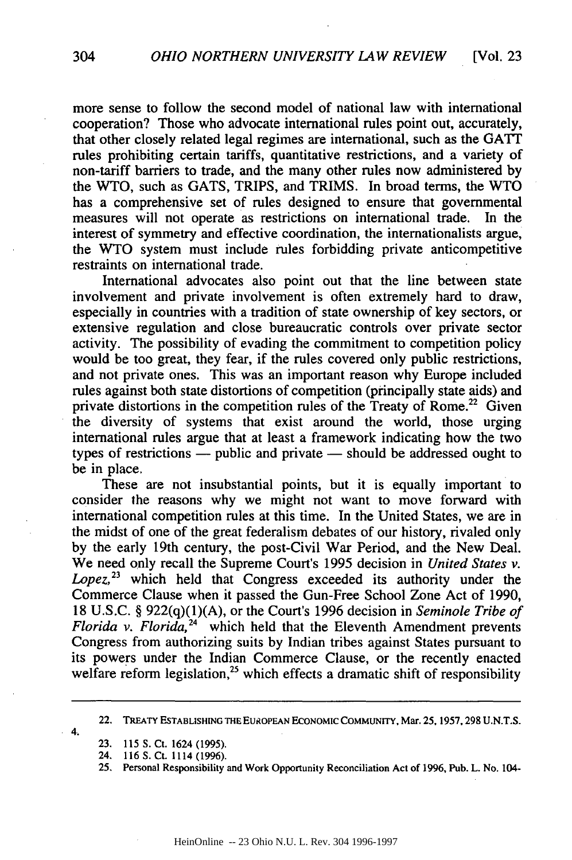more sense to follow the second model of national law with international cooperation? Those who advocate international rules point out, accurately, that other closely related legal regimes are international, such as the GATT rules prohibiting certain tariffs, quantitative restrictions, and a variety of non-tariff barriers to trade, and the many other rules now administered by the WTO, such as GATS, TRIPS, and TRIMS. In broad terms, the WTO has a comprehensive set of rules designed to ensure that governmental measures will not operate as restrictions on international trade. In the interest of symmetry and effective coordination, the internationalists argue, the WTO system must include rules forbidding private anticompetitive restraints on international trade.

International advocates also point out that the line between state involvement and private involvement is often extremely hard to draw, especially in countries with a tradition of state ownership of key sectors, or extensive regulation and close bureaucratic controls over private sector activity. The possibility of evading the commitment to competition policy would be too great, they fear, if the rules covered only public restrictions, and not private ones. This was an important reason why Europe included rules against both state distortions of competition (principally state aids) and private distortions in the competition rules of the Treaty of Rome.<sup>22</sup> Given the diversity of systems that exist around the world, those urging international rules argue that at least a framework indicating how the two types of restrictions  $-$  public and private  $-$  should be addressed ought to be in place.

These are not insubstantial points, but it is equally important to consider the reasons why we might not want to move forward with international competition rules at this time. In the United States, we are in the midst of one of the great federalism debates of our history, rivaled only **by** the early 19th century, the post-Civil War Period, and the New Deal. We need only recall the Supreme Court's 1995 decision in *United States v.* Lopez,<sup>23</sup> which held that Congress exceeded its authority under the Commerce Clause when it passed the Gun-Free School Zone Act of 1990, 18 U.S.C. § 922(q)(1)(A), or the Court's 1996 decision in *Seminole Tribe of Florida v. Florida,24* which held that the Eleventh Amendment prevents Congress from authorizing suits by Indian tribes against States pursuant to its powers under the Indian Commerce Clause, or the recently enacted welfare reform legislation,<sup>25</sup> which effects a dramatic shift of responsibility

22. TREATY ESTABLISHING **THE** EUROPEAN ECONOMIC COMMUNITY, Mar. 25, 1957,298 U.N.T.S.

4.

- **23.** 115 S. Ct. 1624 (1995).
- 24. 116 S. Ct. 1114 (1996).

**<sup>25.</sup>** Personal Responsibility and Work Opportunity Reconciliation Act of 1996, Pub. L. No. 104-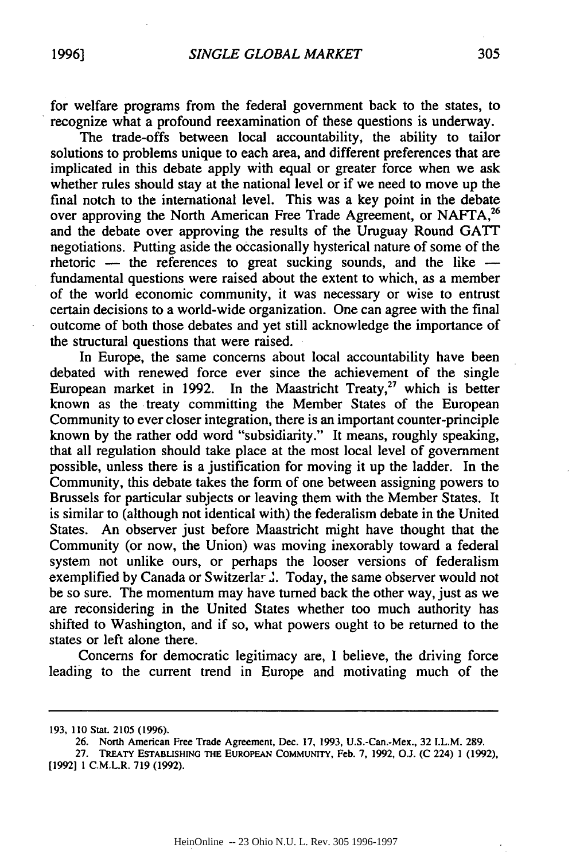for welfare programs from the federal government back to the states, to recognize what a profound reexamination of these questions is underway.

The trade-offs between local accountability, the ability to tailor solutions to problems unique to each area, and different preferences that are implicated in this debate apply with equal or greater force when we ask whether rules should stay at the national level or if we need to move up the final notch to the international level. This was a key point in the debate over approving the North American Free Trade Agreement, or NAFTA,<sup>26</sup> and the debate over approving the results of the Uruguay Round **GATT** negotiations. Putting aside the occasionally hysterical nature of some of the rhetoric - the references to great sucking sounds, and the like fundamental questions were raised about the extent to which, as a member of the world economic community, it was necessary or wise to entrust certain decisions to a world-wide organization. One can agree with the final outcome of both those debates and yet still acknowledge the importance of the structural questions that were raised.

In Europe, the same concerns about local accountability have been debated with renewed force ever since the achievement of the single European market in 1992. In the Maastricht Treaty,<sup>27</sup> which is better known as the treaty committing the Member States of the European Community to ever closer integration, there is an important counter-principle known by the rather odd word "subsidiarity." It means, roughly speaking, that all regulation should take place at the most local level of government possible, unless there is a justification for moving it up the ladder. In the Community, this debate takes the form of one between assigning powers to Brussels for particular subjects or leaving them with the Member States. It is similar to (although not identical with) the federalism debate in the United States. An observer just before Maastricht might have thought that the Community (or now, the Union) was moving inexorably toward a federal system not unlike ours, or perhaps the looser versions of federalism exemplified by Canada or Switzerlar **.** Today, the same observer would not be so sure. The momentum may have turned back the other way, just as we are reconsidering in the United States whether too much authority has shifted to Washington, and if so, what powers ought to be returned to the states or left alone there.

Concerns for democratic legitimacy are, I believe, the driving force leading to the current trend in Europe and motivating much of the

<sup>193, 110</sup> Stat. 2105 (1996).

<sup>26.</sup> North American Free Trade Agreement, Dec. **17,** 1993, U.S.-Can.-Mex., 32 1.L.M. 289.

**<sup>27.</sup> TREATY ESTABLISHING THE EUROPEAN COMMUNITY,** Feb. 7, 1992, **O.J. (C** 224) 1 (1992), **[1992]** 1 C.M.L.R. **719 (1992).**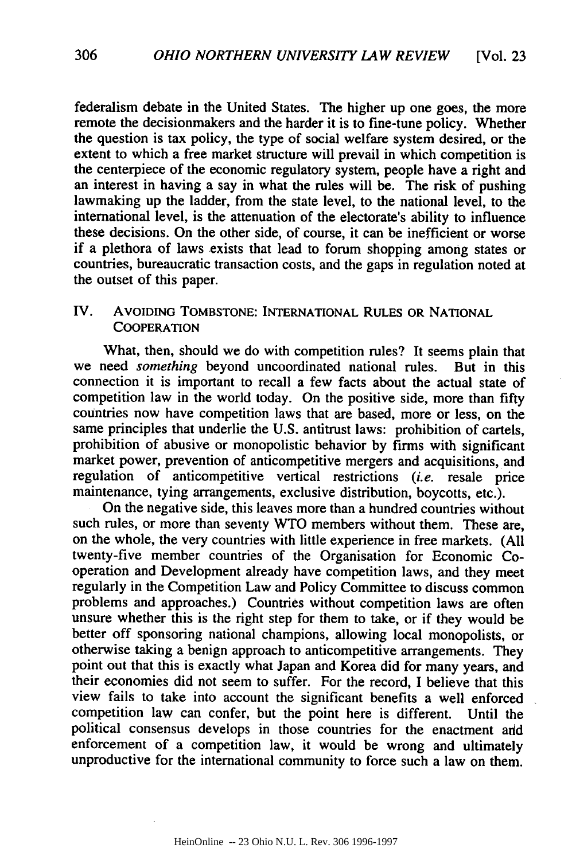federalism debate in the United States. The higher up one goes, the more remote the decisionmakers and the harder it is to fine-tune policy. Whether the question is tax policy, the type of social welfare system desired, or the extent to which a free market structure will prevail in which competition is the centerpiece of the economic regulatory system, people have a right and an interest in having a say in what the rules will be. The risk of pushing lawmaking up the ladder, from the state level, to the national level, to the international level, is the attenuation of the electorate's ability to influence these decisions. On the other side, of course, it can be inefficient or worse if a plethora of laws exists that lead to forum shopping among states or countries, bureaucratic transaction costs, and the gaps in regulation noted at the outset of this paper.

# IV. AVOIDING TOMBSTONE: INTERNATIONAL **RULES** OR NATIONAL **COOPERATION**

What, then, should we do with competition rules? It seems plain that we need *something* beyond uncoordinated national rules. But in this connection it is important to recall a few facts about the actual state of competition law in the world today. On the positive side, more than fifty countries now have competition laws that are based, more or less, on the same principles that underlie the U.S. antitrust laws: prohibition of cartels, prohibition of abusive or monopolistic behavior by firms with significant market power, prevention of anticompetitive mergers and acquisitions, and regulation of anticompetitive vertical restrictions *(i.e.* resale price maintenance, tying arrangements, exclusive distribution, boycotts, etc.).

On the negative side, this leaves more than a hundred countries without such rules, or more than seventy WTO members without them. These are, on the whole, the very countries with little experience in free markets. (All twenty-five member countries of the Organisation for Economic Cooperation and Development already have competition laws, and they meet regularly in the Competition Law and Policy Committee to discuss common problems and approaches.) Countries without competition laws are often unsure whether this is the right step for them to take, or if they would be better off sponsoring national champions, allowing local monopolists, or otherwise taking a benign approach to anticompetitive arrangements. They point out that this is exactly what Japan and Korea did for many years, and their economies did not seem to suffer. For the record, I believe that this view fails to take into account the significant benefits a well enforced competition law can confer, but the point here is different. Until the political consensus develops in those countries for the enactment arid enforcement of a competition law, it would be wrong and ultimately unproductive for the international community to force such a law on them.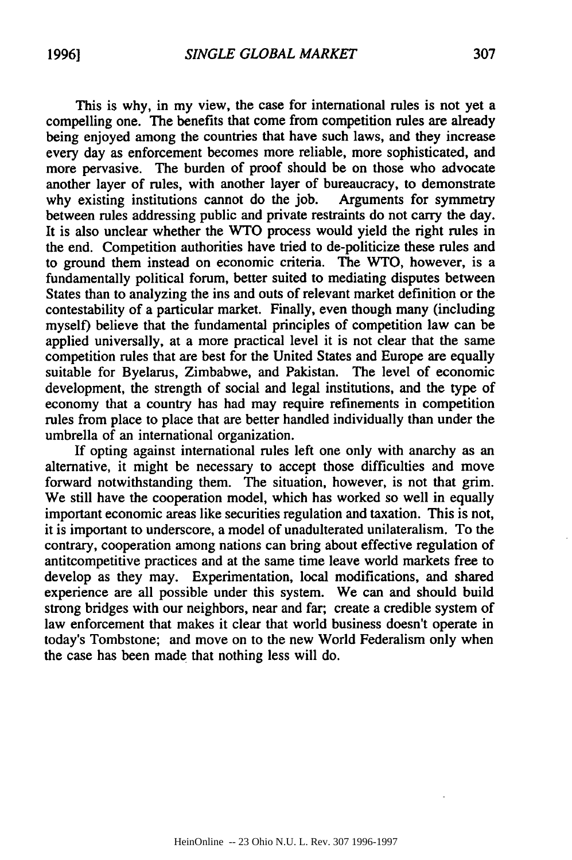This is why, in my view, the case for international rules is not yet a compelling one. The benefits that come from competition rules are already being enjoyed among the countries that have such laws, and they increase every day as enforcement becomes more reliable, more sophisticated, and more pervasive. The burden of proof should be on those who advocate another layer of rules, with another layer of bureaucracy, to demonstrate why existing institutions cannot do the job. Arguments for symmetry why existing institutions cannot do the job. between rules addressing public and private restraints do not carry the day. It is also unclear whether the WTO process would yield the right rules in the end. Competition authorities have tried to de-politicize these rules and to ground them instead on economic criteria. The WTO, however, is a fundamentally political forum, better suited to mediating disputes between States than to analyzing the ins and outs of relevant market definition or the contestability of a particular market. Finally, even though many (including myself) believe that the fundamental principles of competition law can be applied universally, at a more practical level it is not clear that the same competition rules that are best for the United States and Europe are equally suitable for Byelarus, Zimbabwe, and Pakistan. The level of economic development, the strength of social and legal institutions, and the type of economy that a country has had may require refinements in competition rules from place to place that are better handled individually than under the umbrella of an international organization.

If opting against international rules left one only with anarchy as an alternative, it might be necessary to accept those difficulties and move forward notwithstanding them. The situation, however, is not that grim. We still have the cooperation model, which has worked so well in equally important economic areas like securities regulation and taxation. This is not, it is important to underscore, a model of unadulterated unilateralism. To the contrary, cooperation among nations can bring about effective regulation of antitcompetitive practices and at the same time leave world markets free to develop as they may. Experimentation, local modifications, and shared experience are all possible under this system. We can and should build strong bridges with our neighbors, near and far; create a credible system of law enforcement that makes it clear that world business doesn't operate in today's Tombstone; and move on to the new World Federalism only when the case has been made that nothing less will do.